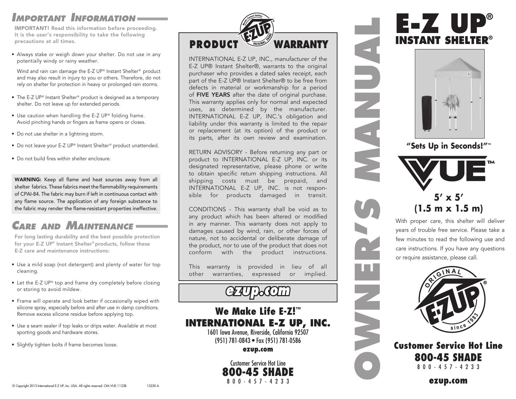#### *Important Information*

IMPORTANT! Read this information before proceeding. It is the user's responsibility to take the following precautions at all times.

• Always stake or weigh down your shelter. Do not use in any potentially windy or rainy weather.

Wind and rain can damage the E-Z UP® Instant Shelter® product and may also result in injury to you or others. Therefore, do not rely on shelter for protection in heavy or prolonged rain storms.

- The E-Z UP® Instant Shelter® product is designed as a temporary shelter. Do not leave up for extended periods.
- Use caution when handling the E-Z UP® folding frame. Avoid pinching hands or fingers as frame opens or closes.
- Do not use shelter in a lightning storm.
- Do not leave your E-Z UP® Instant Shelter® product unattended.
- Do not build fires within shelter enclosure.

WARNING: Keep all flame and heat sources away from all shelter fabrics. These fabrics meet the flammability requirements of CPAI-84. The fabric may burn if left in continuous contact with any flame source. The application of any foreign substance to the fabric may render the flame-resistant properties ineffective.

### *Care and Maintenance*

For long lasting durability and the best possible protection for your E-Z UP® Instant Shelter® products, follow these E-Z care and maintenance instructions:

- Use a mild soap (not detergent) and plenty of water for top cleaning.
- Let the E-Z UP® top and frame dry completely before closing or storing to avoid mildew.
- Frame will operate and look better if occasionally wiped with silicone spray, especially before and after use in damp conditions. Remove excess silicone residue before applying top.
- Use a seam sealer if top leaks or drips water. Available at most sporting goods and hardware stores.
- Slightly tighten bolts if frame becomes loose.



INTERNATIONAL E-Z UP, INC., manufacturer of the E-Z UP® Instant Shelter®, warrants to the original purchaser who provides a dated sales receipt, each part of the E-Z UP® Instant Shelter® to be free from defects in material or workmanship for a period of FIVE YEARS after the date of original purchase. This warranty applies only for normal and expected uses, as determined by the manufacturer. INTERNATIONAL E-Z UP, INC.'s obligation and liability under this warranty is limited to the repair or replacement (at its option) of the product or its parts, after its own review and examination.

RETURN ADVISORY - Before returning any part or product to INTERNATIONAL E-Z UP, INC. or its designated representative, please phone or write to obtain specific return shipping instructions. All shipping costs must be prepaid, and INTERNATIONAL E-Z UP, INC. is not responsible for products damaged in transit.

CONDITIONS - This warranty shall be void as to any product which has been altered or modified in any manner. This warranty does not apply to damages caused by wind, rain, or other forces of nature, not to accidental or deliberate damage of the product, nor to use of the product that does not conform with the product instructions.

This warranty is provided in lieu of all other warranties, expressed or implied.

# GEAUPOCOLIN

#### We Make Life E-Z! ™ **INTERNATIONAL E-Z UP, INC.**

1601 Iowa Avenue, Riverside, California 92507 (951) 781-0843 • Fax (951) 781-0586

ezup.com

Customer Service Hot Line 800-45 SHADE 8 0 0 - 4 5 7 - 4 2 3 3

# **E-Z UP® INSTANT SHELTER®**



**"Sets Up in Seconds!"™**

# **5' x 5' (1.5 m x 1.5 m)**

**OWNER'S MANUAL**

With proper care, this shelter will deliver years of trouble free service. Please take a few minutes to read the following use and care instructions. If you have any questions or require assistance, please call.



Customer Service Hot Line 800-45 SHADE 8 0 0 - 4 5 7 - 4 2 3 3